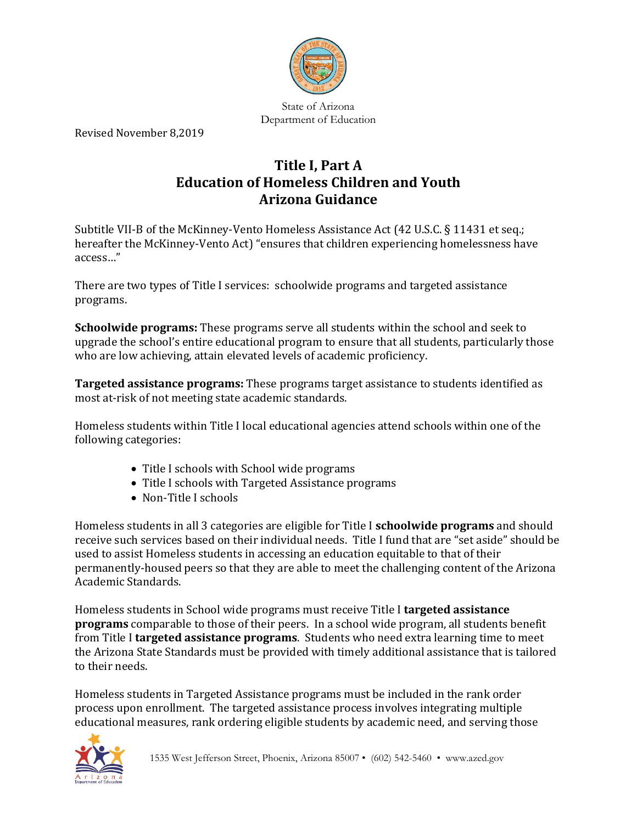

State of Arizona Department of Education

Revised November 8,2019

# **Title I, Part A Education of Homeless Children and Youth Arizona Guidance**

Subtitle VII-B of the McKinney-Vento Homeless Assistance Act (42 U.S.C. § 11431 et seq.; hereafter the McKinney-Vento Act) "ensures that children experiencing homelessness have access…"

There are two types of Title I services: schoolwide programs and targeted assistance programs.

**Schoolwide programs:** These programs serve all students within the school and seek to upgrade the school's entire educational program to ensure that all students, particularly those who are low achieving, attain elevated levels of academic proficiency.

**Targeted assistance programs:** These programs target assistance to students identified as most at-risk of not meeting state academic standards.

Homeless students within Title I local educational agencies attend schools within one of the following categories:

- Title I schools with School wide programs
- Title I schools with Targeted Assistance programs
- Non-Title I schools

Homeless students in all 3 categories are eligible for Title I **schoolwide programs** and should receive such services based on their individual needs. Title I fund that are "set aside" should be used to assist Homeless students in accessing an education equitable to that of their permanently-housed peers so that they are able to meet the challenging content of the Arizona Academic Standards.

Homeless students in School wide programs must receive Title I **targeted assistance programs** comparable to those of their peers. In a school wide program, all students benefit from Title I **targeted assistance programs**. Students who need extra learning time to meet the Arizona State Standards must be provided with timely additional assistance that is tailored to their needs.

Homeless students in Targeted Assistance programs must be included in the rank order process upon enrollment. The targeted assistance process involves integrating multiple educational measures, rank ordering eligible students by academic need, and serving those

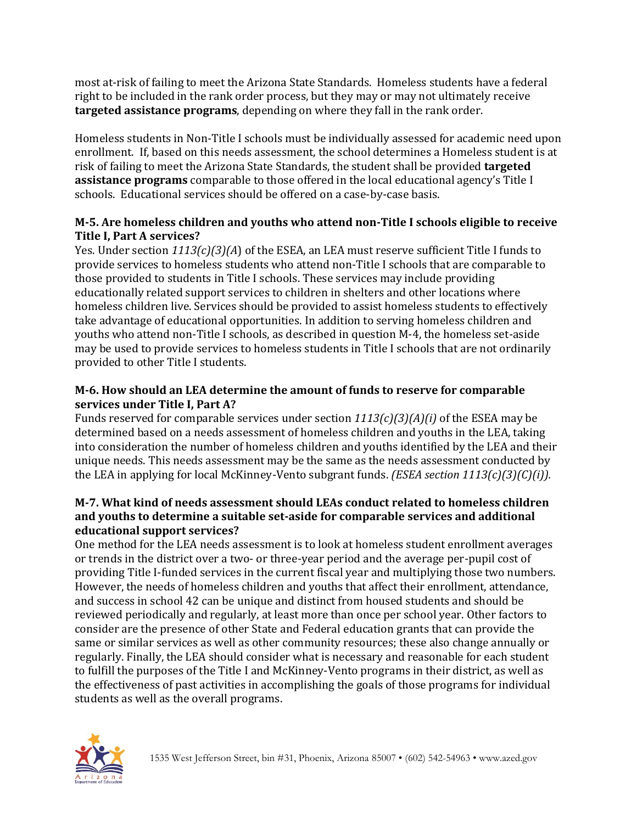most at-risk of failing to meet the Arizona State Standards. Homeless students have a federal right to be included in the rank order process, but they may or may not ultimately receive **targeted assistance programs**, depending on where they fall in the rank order.

Homeless students in Non-Title I schools must be individually assessed for academic need upon enrollment. If, based on this needs assessment, the school determines a Homeless student is at risk of failing to meet the Arizona State Standards, the student shall be provided **targeted assistance programs** comparable to those offered in the local educational agency's Title I schools. Educational services should be offered on a case-by-case basis.

### **M-5. Are homeless children and youths who attend non-Title I schools eligible to receive Title I, Part A services?**

Yes. Under section *1113(c)(3)(A*) of the ESEA, an LEA must reserve sufficient Title I funds to provide services to homeless students who attend non-Title I schools that are comparable to those provided to students in Title I schools. These services may include providing educationally related support services to children in shelters and other locations where homeless children live. Services should be provided to assist homeless students to effectively take advantage of educational opportunities. In addition to serving homeless children and youths who attend non-Title I schools, as described in question M-4, the homeless set-aside may be used to provide services to homeless students in Title I schools that are not ordinarily provided to other Title I students.

#### **M-6. How should an LEA determine the amount of funds to reserve for comparable services under Title I, Part A?**

Funds reserved for comparable services under section *1113(c)(3)(A)(i)* of the ESEA may be determined based on a needs assessment of homeless children and youths in the LEA, taking into consideration the number of homeless children and youths identified by the LEA and their unique needs. This needs assessment may be the same as the needs assessment conducted by the LEA in applying for local McKinney-Vento subgrant funds. *(ESEA section 1113(c)(3)(C)(i)).*

#### **M-7. What kind of needs assessment should LEAs conduct related to homeless children and youths to determine a suitable set-aside for comparable services and additional educational support services?**

One method for the LEA needs assessment is to look at homeless student enrollment averages or trends in the district over a two- or three-year period and the average per-pupil cost of providing Title I-funded services in the current fiscal year and multiplying those two numbers. However, the needs of homeless children and youths that affect their enrollment, attendance, and success in school 42 can be unique and distinct from housed students and should be reviewed periodically and regularly, at least more than once per school year. Other factors to consider are the presence of other State and Federal education grants that can provide the same or similar services as well as other community resources; these also change annually or regularly. Finally, the LEA should consider what is necessary and reasonable for each student to fulfill the purposes of the Title I and McKinney-Vento programs in their district, as well as the effectiveness of past activities in accomplishing the goals of those programs for individual students as well as the overall programs.

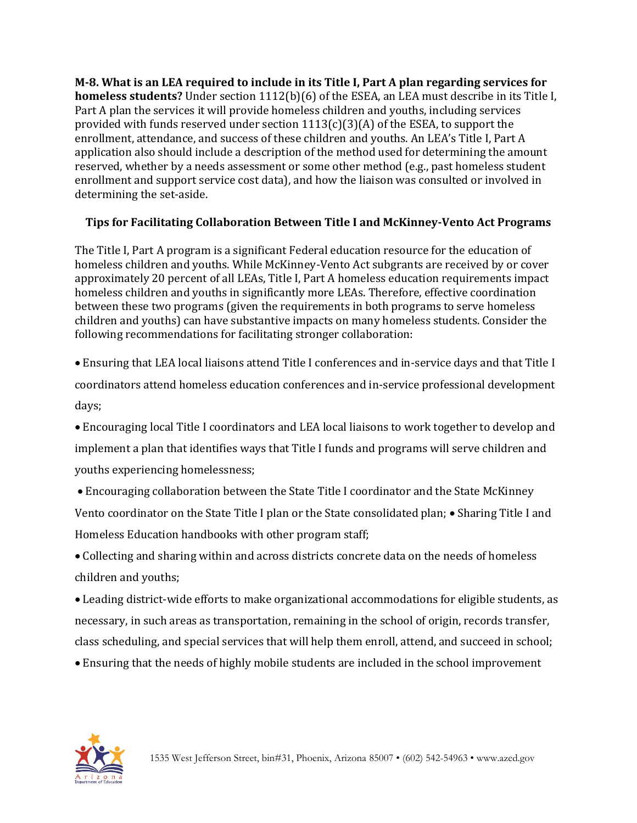**M-8. What is an LEA required to include in its Title I, Part A plan regarding services for homeless students?** Under section 1112(b)(6) of the ESEA, an LEA must describe in its Title I, Part A plan the services it will provide homeless children and youths, including services provided with funds reserved under section  $1113(c)(3)(A)$  of the ESEA, to support the enrollment, attendance, and success of these children and youths. An LEA's Title I, Part A application also should include a description of the method used for determining the amount reserved, whether by a needs assessment or some other method (e.g., past homeless student enrollment and support service cost data), and how the liaison was consulted or involved in determining the set-aside.

### **Tips for Facilitating Collaboration Between Title I and McKinney-Vento Act Programs**

The Title I, Part A program is a significant Federal education resource for the education of homeless children and youths. While McKinney-Vento Act subgrants are received by or cover approximately 20 percent of all LEAs, Title I, Part A homeless education requirements impact homeless children and youths in significantly more LEAs. Therefore, effective coordination between these two programs (given the requirements in both programs to serve homeless children and youths) can have substantive impacts on many homeless students. Consider the following recommendations for facilitating stronger collaboration:

• Ensuring that LEA local liaisons attend Title I conferences and in-service days and that Title I coordinators attend homeless education conferences and in-service professional development days;

• Encouraging local Title I coordinators and LEA local liaisons to work together to develop and implement a plan that identifies ways that Title I funds and programs will serve children and youths experiencing homelessness;

• Encouraging collaboration between the State Title I coordinator and the State McKinney Vento coordinator on the State Title I plan or the State consolidated plan; • Sharing Title I and Homeless Education handbooks with other program staff;

• Collecting and sharing within and across districts concrete data on the needs of homeless children and youths;

• Leading district-wide efforts to make organizational accommodations for eligible students, as necessary, in such areas as transportation, remaining in the school of origin, records transfer, class scheduling, and special services that will help them enroll, attend, and succeed in school;

• Ensuring that the needs of highly mobile students are included in the school improvement